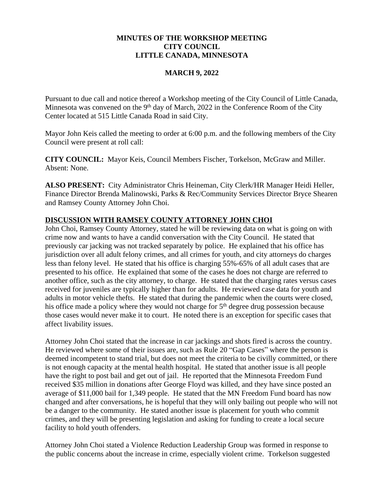## **MINUTES OF THE WORKSHOP MEETING CITY COUNCIL LITTLE CANADA, MINNESOTA**

### **MARCH 9, 2022**

Pursuant to due call and notice thereof a Workshop meeting of the City Council of Little Canada, Minnesota was convened on the 9<sup>th</sup> day of March, 2022 in the Conference Room of the City Center located at 515 Little Canada Road in said City.

Mayor John Keis called the meeting to order at 6:00 p.m. and the following members of the City Council were present at roll call:

**CITY COUNCIL:** Mayor Keis, Council Members Fischer, Torkelson, McGraw and Miller. Absent: None.

**ALSO PRESENT:** City Administrator Chris Heineman, City Clerk/HR Manager Heidi Heller, Finance Director Brenda Malinowski, Parks & Rec/Community Services Director Bryce Shearen and Ramsey County Attorney John Choi.

## **DISCUSSION WITH RAMSEY COUNTY ATTORNEY JOHN CHOI**

John Choi, Ramsey County Attorney, stated he will be reviewing data on what is going on with crime now and wants to have a candid conversation with the City Council. He stated that previously car jacking was not tracked separately by police. He explained that his office has jurisdiction over all adult felony crimes, and all crimes for youth, and city attorneys do charges less than felony level. He stated that his office is charging 55%-65% of all adult cases that are presented to his office. He explained that some of the cases he does not charge are referred to another office, such as the city attorney, to charge. He stated that the charging rates versus cases received for juveniles are typically higher than for adults. He reviewed case data for youth and adults in motor vehicle thefts. He stated that during the pandemic when the courts were closed, his office made a policy where they would not charge for 5<sup>th</sup> degree drug possession because those cases would never make it to court. He noted there is an exception for specific cases that affect livability issues.

Attorney John Choi stated that the increase in car jackings and shots fired is across the country. He reviewed where some of their issues are, such as Rule 20 "Gap Cases" where the person is deemed incompetent to stand trial, but does not meet the criteria to be civilly committed, or there is not enough capacity at the mental health hospital. He stated that another issue is all people have the right to post bail and get out of jail. He reported that the Minnesota Freedom Fund received \$35 million in donations after George Floyd was killed, and they have since posted an average of \$11,000 bail for 1,349 people. He stated that the MN Freedom Fund board has now changed and after conversations, he is hopeful that they will only bailing out people who will not be a danger to the community. He stated another issue is placement for youth who commit crimes, and they will be presenting legislation and asking for funding to create a local secure facility to hold youth offenders.

Attorney John Choi stated a Violence Reduction Leadership Group was formed in response to the public concerns about the increase in crime, especially violent crime. Torkelson suggested